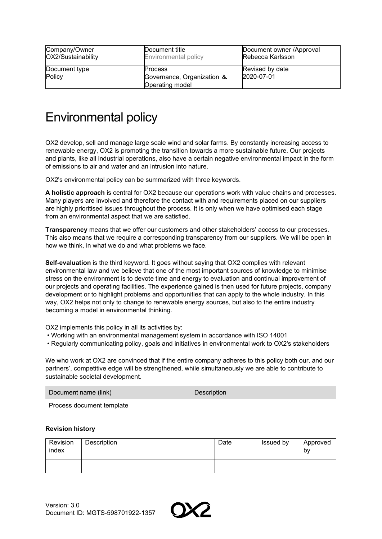| Company/Owner           | Document title                                                         | Document owner /Approval      |
|-------------------------|------------------------------------------------------------------------|-------------------------------|
| OX2/Sustainability      | <b>Environmental policy</b>                                            | Rebecca Karlsson              |
| Document type<br>Policy | <b>Process</b><br>Governance, Organization &<br><b>Operating model</b> | Revised by date<br>2020-07-01 |

## Environmental policy

OX2 develop, sell and manage large scale wind and solar farms. By constantly increasing access to renewable energy, OX2 is promoting the transition towards a more sustainable future. Our projects and plants, like all industrial operations, also have a certain negative environmental impact in the form of emissions to air and water and an intrusion into nature.

OX2's environmental policy can be summarized with three keywords.

**A holistic approach** is central for OX2 because our operations work with value chains and processes. Many players are involved and therefore the contact with and requirements placed on our suppliers are highly prioritised issues throughout the process. It is only when we have optimised each stage from an environmental aspect that we are satisfied.

**Transparency** means that we offer our customers and other stakeholders' access to our processes. This also means that we require a corresponding transparency from our suppliers. We will be open in how we think, in what we do and what problems we face.

**Self-evaluation** is the third keyword. It goes without saying that OX2 complies with relevant environmental law and we believe that one of the most important sources of knowledge to minimise stress on the environment is to devote time and energy to evaluation and continual improvement of our projects and operating facilities. The experience gained is then used for future projects, company development or to highlight problems and opportunities that can apply to the whole industry. In this way, OX2 helps not only to change to renewable energy sources, but also to the entire industry becoming a model in environmental thinking.

OX2 implements this policy in all its activities by:

- Working with an environmental management system in accordance with ISO 14001
- Regularly communicating policy, goals and initiatives in environmental work to OX2's stakeholders

We who work at OX2 are convinced that if the entire company adheres to this policy both our, and our partners', competitive edge will be strengthened, while simultaneously we are able to contribute to sustainable societal development.

| Document name (link)      | Description |  |
|---------------------------|-------------|--|
| Process document template |             |  |

## **Revision history**

| Revision<br>index | Description | Date | Issued by | Approved<br>by |
|-------------------|-------------|------|-----------|----------------|
|                   |             |      |           |                |